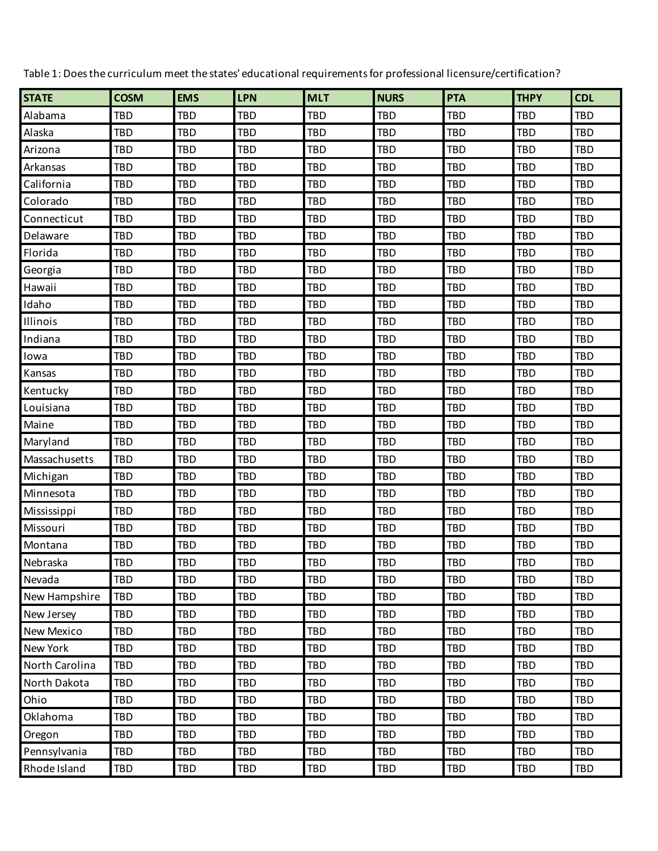| <b>STATE</b>   | <b>COSM</b> | <b>EMS</b> | <b>LPN</b> | <b>MLT</b> | <b>NURS</b> | <b>PTA</b> | <b>THPY</b> | <b>CDL</b> |
|----------------|-------------|------------|------------|------------|-------------|------------|-------------|------------|
|                |             |            |            |            |             |            |             |            |
| Alabama        | <b>TBD</b>  | <b>TBD</b> | <b>TBD</b> | <b>TBD</b> | <b>TBD</b>  | <b>TBD</b> | <b>TBD</b>  | <b>TBD</b> |
| Alaska         | <b>TBD</b>  | <b>TBD</b> | TBD        | <b>TBD</b> | <b>TBD</b>  | <b>TBD</b> | <b>TBD</b>  | <b>TBD</b> |
| Arizona        | <b>TBD</b>  | <b>TBD</b> | <b>TBD</b> | <b>TBD</b> | <b>TBD</b>  | <b>TBD</b> | <b>TBD</b>  | <b>TBD</b> |
| Arkansas       | <b>TBD</b>  | <b>TBD</b> | <b>TBD</b> | <b>TBD</b> | <b>TBD</b>  | <b>TBD</b> | <b>TBD</b>  | <b>TBD</b> |
| California     | <b>TBD</b>  | <b>TBD</b> | <b>TBD</b> | <b>TBD</b> | <b>TBD</b>  | <b>TBD</b> | <b>TBD</b>  | <b>TBD</b> |
| Colorado       | <b>TBD</b>  | <b>TBD</b> | <b>TBD</b> | <b>TBD</b> | <b>TBD</b>  | <b>TBD</b> | <b>TBD</b>  | <b>TBD</b> |
| Connecticut    | <b>TBD</b>  | <b>TBD</b> | <b>TBD</b> | <b>TBD</b> | <b>TBD</b>  | <b>TBD</b> | <b>TBD</b>  | <b>TBD</b> |
| Delaware       | <b>TBD</b>  | <b>TBD</b> | TBD        | <b>TBD</b> | <b>TBD</b>  | <b>TBD</b> | <b>TBD</b>  | <b>TBD</b> |
| Florida        | <b>TBD</b>  | <b>TBD</b> | <b>TBD</b> | <b>TBD</b> | <b>TBD</b>  | <b>TBD</b> | <b>TBD</b>  | <b>TBD</b> |
| Georgia        | <b>TBD</b>  | <b>TBD</b> | <b>TBD</b> | <b>TBD</b> | <b>TBD</b>  | <b>TBD</b> | <b>TBD</b>  | <b>TBD</b> |
| Hawaii         | <b>TBD</b>  | <b>TBD</b> | <b>TBD</b> | <b>TBD</b> | <b>TBD</b>  | <b>TBD</b> | <b>TBD</b>  | <b>TBD</b> |
| Idaho          | <b>TBD</b>  | <b>TBD</b> | <b>TBD</b> | <b>TBD</b> | <b>TBD</b>  | <b>TBD</b> | <b>TBD</b>  | <b>TBD</b> |
| Illinois       | <b>TBD</b>  | <b>TBD</b> | <b>TBD</b> | <b>TBD</b> | <b>TBD</b>  | <b>TBD</b> | <b>TBD</b>  | <b>TBD</b> |
| Indiana        | <b>TBD</b>  | <b>TBD</b> | <b>TBD</b> | <b>TBD</b> | <b>TBD</b>  | <b>TBD</b> | <b>TBD</b>  | <b>TBD</b> |
| lowa           | <b>TBD</b>  | <b>TBD</b> | <b>TBD</b> | <b>TBD</b> | <b>TBD</b>  | <b>TBD</b> | <b>TBD</b>  | <b>TBD</b> |
| Kansas         | <b>TBD</b>  | <b>TBD</b> | <b>TBD</b> | <b>TBD</b> | <b>TBD</b>  | <b>TBD</b> | <b>TBD</b>  | <b>TBD</b> |
| Kentucky       | <b>TBD</b>  | <b>TBD</b> | <b>TBD</b> | <b>TBD</b> | <b>TBD</b>  | <b>TBD</b> | <b>TBD</b>  | <b>TBD</b> |
| Louisiana      | <b>TBD</b>  | <b>TBD</b> | <b>TBD</b> | <b>TBD</b> | <b>TBD</b>  | <b>TBD</b> | <b>TBD</b>  | <b>TBD</b> |
| Maine          | <b>TBD</b>  | <b>TBD</b> | <b>TBD</b> | <b>TBD</b> | <b>TBD</b>  | <b>TBD</b> | <b>TBD</b>  | <b>TBD</b> |
| Maryland       | <b>TBD</b>  | <b>TBD</b> | TBD        | <b>TBD</b> | <b>TBD</b>  | <b>TBD</b> | <b>TBD</b>  | <b>TBD</b> |
| Massachusetts  | <b>TBD</b>  | <b>TBD</b> | <b>TBD</b> | <b>TBD</b> | <b>TBD</b>  | <b>TBD</b> | <b>TBD</b>  | <b>TBD</b> |
| Michigan       | <b>TBD</b>  | <b>TBD</b> | <b>TBD</b> | <b>TBD</b> | <b>TBD</b>  | <b>TBD</b> | <b>TBD</b>  | <b>TBD</b> |
| Minnesota      | <b>TBD</b>  | <b>TBD</b> | <b>TBD</b> | <b>TBD</b> | <b>TBD</b>  | <b>TBD</b> | <b>TBD</b>  | <b>TBD</b> |
| Mississippi    | <b>TBD</b>  | <b>TBD</b> | TBD        | <b>TBD</b> | <b>TBD</b>  | <b>TBD</b> | <b>TBD</b>  | <b>TBD</b> |
| Missouri       | <b>TBD</b>  | <b>TBD</b> | <b>TBD</b> | <b>TBD</b> | <b>TBD</b>  | <b>TBD</b> | <b>TBD</b>  | <b>TBD</b> |
| Montana        | <b>TBD</b>  | <b>TBD</b> | TBD        | <b>TBD</b> | <b>TBD</b>  | <b>TBD</b> | <b>TBD</b>  | <b>TBD</b> |
| Nebraska       | <b>TBD</b>  | <b>TBD</b> | <b>TBD</b> | <b>TBD</b> | <b>TBD</b>  | <b>TBD</b> | <b>TBD</b>  | <b>TBD</b> |
| Nevada         | <b>TBD</b>  | <b>TBD</b> | TBD        | <b>TBD</b> | <b>TBD</b>  | TBD        | TBD         | <b>TBD</b> |
| New Hampshire  | TBD         | <b>TBD</b> | TBD        | TBD        | <b>TBD</b>  | TBD        | TBD         | TBD        |
| New Jersey     | TBD         | <b>TBD</b> | TBD        | <b>TBD</b> | <b>TBD</b>  | TBD        | <b>TBD</b>  | TBD        |
| New Mexico     | TBD         | TBD        | TBD        | <b>TBD</b> | <b>TBD</b>  | <b>TBD</b> | TBD         | <b>TBD</b> |
| New York       | <b>TBD</b>  | <b>TBD</b> | TBD        | <b>TBD</b> | <b>TBD</b>  | TBD        | <b>TBD</b>  | TBD        |
| North Carolina | <b>TBD</b>  | <b>TBD</b> | TBD        | <b>TBD</b> | <b>TBD</b>  | TBD        | <b>TBD</b>  | TBD        |
| North Dakota   | TBD         | TBD        | TBD        | TBD        | <b>TBD</b>  | TBD        | TBD         | <b>TBD</b> |
| Ohio           | TBD         | <b>TBD</b> | TBD        | <b>TBD</b> | <b>TBD</b>  | TBD        | <b>TBD</b>  | TBD        |
| Oklahoma       | TBD         | <b>TBD</b> | TBD        | <b>TBD</b> | <b>TBD</b>  | TBD        | <b>TBD</b>  | TBD        |
| Oregon         | TBD         | TBD        | TBD        | TBD        | <b>TBD</b>  | TBD        | TBD         | <b>TBD</b> |
| Pennsylvania   | TBD         | TBD        | TBD        | <b>TBD</b> | <b>TBD</b>  | TBD        | TBD         | TBD        |
| Rhode Island   | TBD         | TBD        | TBD        | TBD        | <b>TBD</b>  | TBD        | TBD         | TBD        |

Table 1: Does the curriculum meet the states' educational requirements for professional licensure/certification?